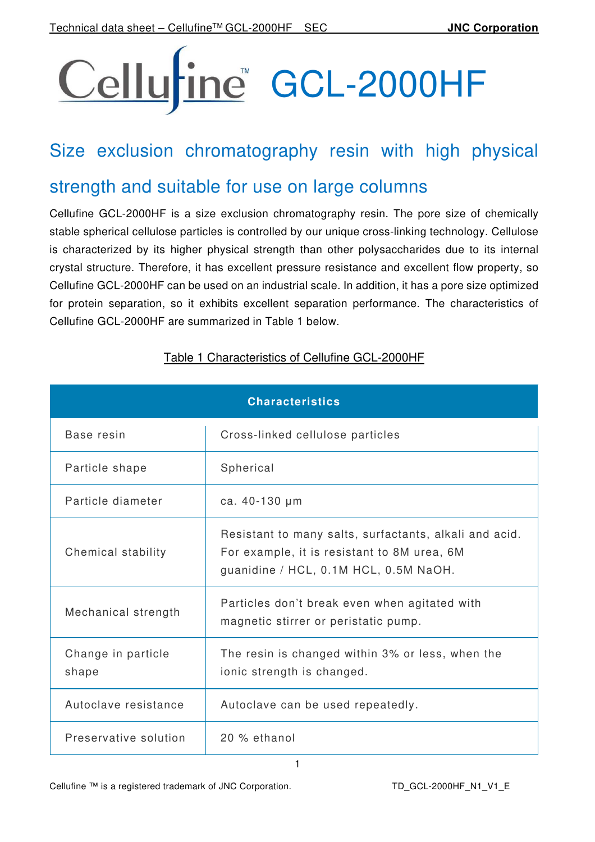# Cellurine GCL-2000HF

## Size exclusion chromatography resin with high physical

## strength and suitable for use on large columns

Cellufine GCL-2000HF is a size exclusion chromatography resin. The pore size of chemically stable spherical cellulose particles is controlled by our unique cross-linking technology. Cellulose is characterized by its higher physical strength than other polysaccharides due to its internal crystal structure. Therefore, it has excellent pressure resistance and excellent flow property, so Cellufine GCL-2000HF can be used on an industrial scale. In addition, it has a pore size optimized for protein separation, so it exhibits excellent separation performance. The characteristics of Cellufine GCL-2000HF are summarized in Table 1 below.

| <b>Characteristics</b>      |                                                                                                                                                |  |  |
|-----------------------------|------------------------------------------------------------------------------------------------------------------------------------------------|--|--|
| Base resin                  | Cross-linked cellulose particles                                                                                                               |  |  |
| Particle shape              | Spherical                                                                                                                                      |  |  |
| Particle diameter           | ca. 40-130 µm                                                                                                                                  |  |  |
| Chemical stability          | Resistant to many salts, surfactants, alkali and acid.<br>For example, it is resistant to 8M urea, 6M<br>guanidine / HCL, 0.1M HCL, 0.5M NaOH. |  |  |
| Mechanical strength         | Particles don't break even when agitated with<br>magnetic stirrer or peristatic pump.                                                          |  |  |
| Change in particle<br>shape | The resin is changed within 3% or less, when the<br>ionic strength is changed.                                                                 |  |  |
| Autoclave resistance        | Autoclave can be used repeatedly.                                                                                                              |  |  |
| Preservative solution       | 20 % ethanol                                                                                                                                   |  |  |

1

#### Table 1 Characteristics of Cellufine GCL-2000HF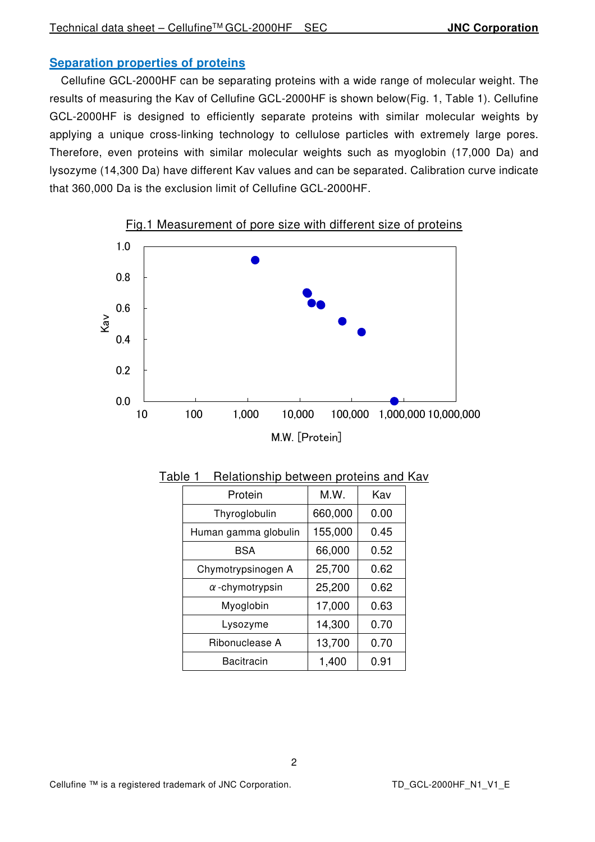#### **Separation properties of proteins**

Cellufine GCL-2000HF can be separating proteins with a wide range of molecular weight. The results of measuring the Kav of Cellufine GCL-2000HF is shown below(Fig. 1, Table 1). Cellufine GCL-2000HF is designed to efficiently separate proteins with similar molecular weights by applying a unique cross-linking technology to cellulose particles with extremely large pores. Therefore, even proteins with similar molecular weights such as myoglobin (17,000 Da) and lysozyme (14,300 Da) have different Kav values and can be separated. Calibration curve indicate that 360,000 Da is the exclusion limit of Cellufine GCL-2000HF.



Fig.1 Measurement of pore size with different size of proteins

| Protein                | M.W.    | Kav  |  |
|------------------------|---------|------|--|
| Thyroglobulin          | 660,000 | 0.00 |  |
| Human gamma globulin   | 155,000 | 0.45 |  |
| <b>BSA</b>             | 66,000  | 0.52 |  |
| Chymotrypsinogen A     | 25,700  | 0.62 |  |
| $\alpha$ -chymotrypsin | 25,200  | 0.62 |  |
| Myoglobin              | 17,000  | 0.63 |  |
| Lysozyme               | 14,300  | 0.70 |  |
| Ribonuclease A         | 13,700  | 0.70 |  |
| Bacitracin             | 1,400   | 0.91 |  |

Table 1 Relationship between proteins and Kav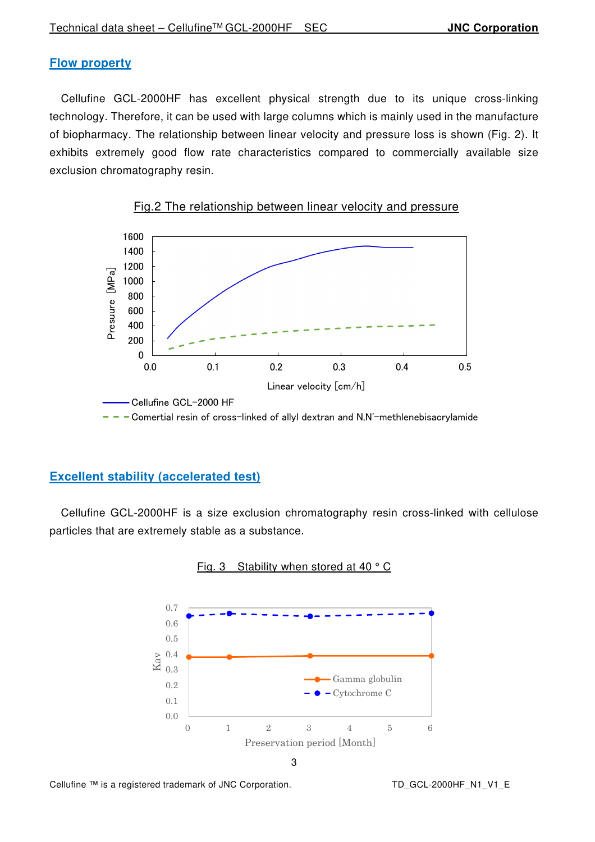#### **Flow property**

Cellufine GCL-2000HF has excellent physical strength due to its unique cross-linking technology. Therefore, it can be used with large columns which is mainly used in the manufacture of biopharmacy. The relationship between linear velocity and pressure loss is shown (Fig. 2). It exhibits extremely good flow rate characteristics compared to commercially available size exclusion chromatography resin.





 $-$  - Comertial resin of cross-linked of allyl dextran and N,N'-methlenebisacrylamide

#### **Excellent stability (accelerated test)**

Cellufine GCL-2000HF is a size exclusion chromatography resin cross-linked with cellulose particles that are extremely stable as a substance.



Fig. 3 Stability when stored at 40 ° C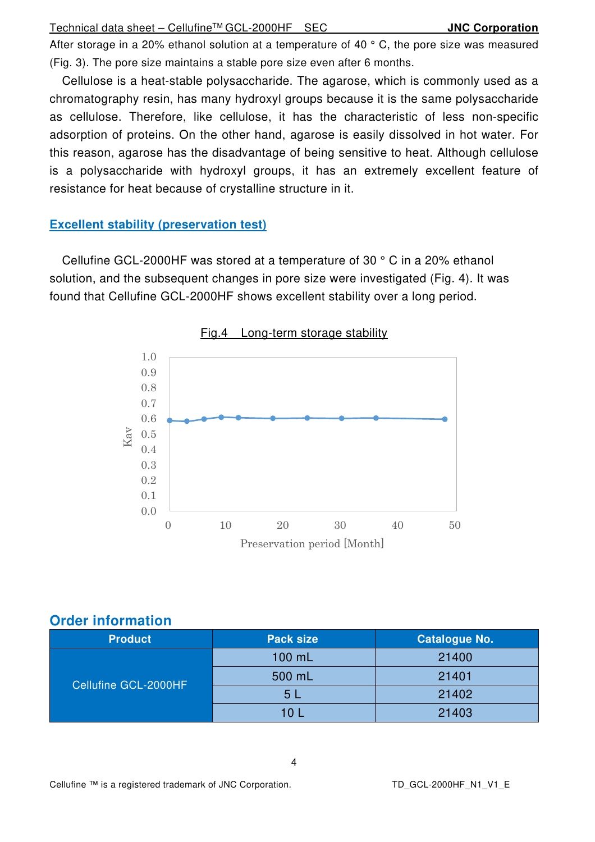After storage in a 20% ethanol solution at a temperature of 40 $\degree$  C, the pore size was measured (Fig. 3). The pore size maintains a stable pore size even after 6 months.

Cellulose is a heat-stable polysaccharide. The agarose, which is commonly used as a chromatography resin, has many hydroxyl groups because it is the same polysaccharide as cellulose. Therefore, like cellulose, it has the characteristic of less non-specific adsorption of proteins. On the other hand, agarose is easily dissolved in hot water. For this reason, agarose has the disadvantage of being sensitive to heat. Although cellulose is a polysaccharide with hydroxyl groups, it has an extremely excellent feature of resistance for heat because of crystalline structure in it.

#### **Excellent stability (preservation test)**

Cellufine GCL-2000HF was stored at a temperature of 30 ° C in a 20% ethanol solution, and the subsequent changes in pore size were investigated (Fig. 4). It was found that Cellufine GCL-2000HF shows excellent stability over a long period.



#### **Order information**

| <b>Product</b>       | <b>Pack size</b> | <b>Catalogue No.</b> |
|----------------------|------------------|----------------------|
| Cellufine GCL-2000HF | 100 mL           | 21400                |
|                      | 500 mL           | 21401                |
|                      | 5l               | 21402                |
|                      | <b>40 L</b>      | 21403                |